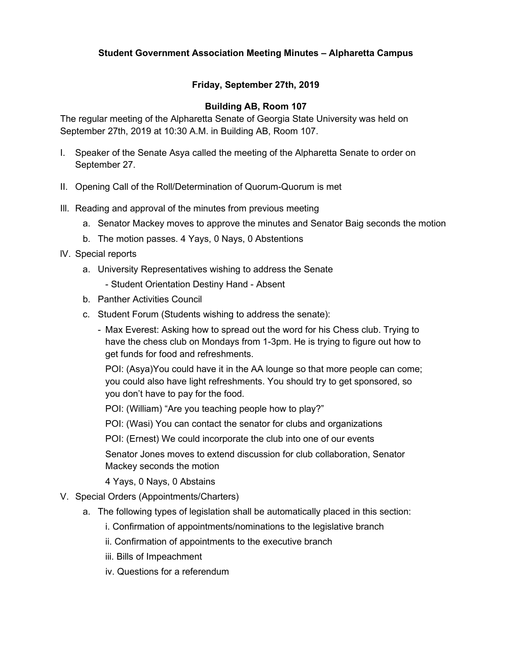## **Friday, September 27th, 2019**

#### **Building AB, Room 107**

The regular meeting of the Alpharetta Senate of Georgia State University was held on September 27th, 2019 at 10:30 A.M. in Building AB, Room 107.

- I. Speaker of the Senate Asya called the meeting of the Alpharetta Senate to order on September 27.
- II. Opening Call of the Roll/Determination of Quorum-Quorum is met
- Ill. Reading and approval of the minutes from previous meeting
	- a. Senator Mackey moves to approve the minutes and Senator Baig seconds the motion
	- b. The motion passes. 4 Yays, 0 Nays, 0 Abstentions
- lV. Special reports
	- a. University Representatives wishing to address the Senate
		- Student Orientation Destiny Hand Absent
	- b. Panther Activities Council
	- c. Student Forum (Students wishing to address the senate):
		- Max Everest: Asking how to spread out the word for his Chess club. Trying to have the chess club on Mondays from 1-3pm. He is trying to figure out how to get funds for food and refreshments.

POI: (Asya)You could have it in the AA lounge so that more people can come; you could also have light refreshments. You should try to get sponsored, so you don't have to pay for the food.

POI: (William) "Are you teaching people how to play?"

POI: (Wasi) You can contact the senator for clubs and organizations

POI: (Ernest) We could incorporate the club into one of our events

Senator Jones moves to extend discussion for club collaboration, Senator Mackey seconds the motion

4 Yays, 0 Nays, 0 Abstains

- V. Special Orders (Appointments/Charters)
	- a. The following types of legislation shall be automatically placed in this section:
		- i. Confirmation of appointments/nominations to the legislative branch
		- ii. Confirmation of appointments to the executive branch
		- iii. Bills of Impeachment
		- iv. Questions for a referendum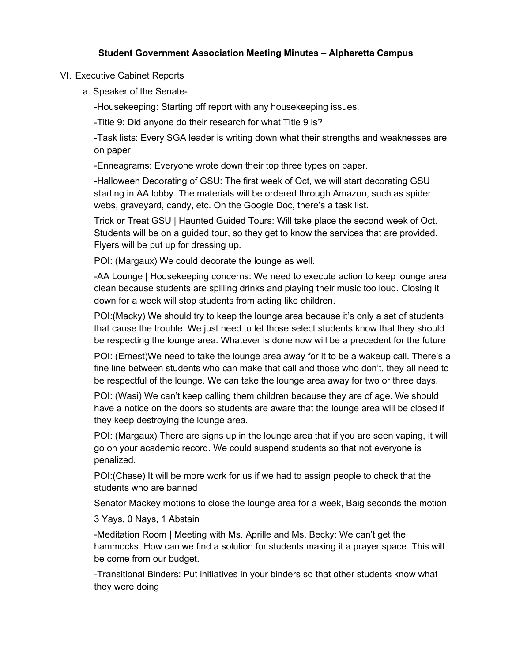## VI. Executive Cabinet Reports

a. Speaker of the Senate-

-Housekeeping: Starting off report with any housekeeping issues.

-Title 9: Did anyone do their research for what Title 9 is?

-Task lists: Every SGA leader is writing down what their strengths and weaknesses are on paper

-Enneagrams: Everyone wrote down their top three types on paper.

-Halloween Decorating of GSU: The first week of Oct, we will start decorating GSU starting in AA lobby. The materials will be ordered through Amazon, such as spider webs, graveyard, candy, etc. On the Google Doc, there's a task list.

Trick or Treat GSU | Haunted Guided Tours: Will take place the second week of Oct. Students will be on a guided tour, so they get to know the services that are provided. Flyers will be put up for dressing up.

POI: (Margaux) We could decorate the lounge as well.

-AA Lounge | Housekeeping concerns: We need to execute action to keep lounge area clean because students are spilling drinks and playing their music too loud. Closing it down for a week will stop students from acting like children.

POI:(Macky) We should try to keep the lounge area because it's only a set of students that cause the trouble. We just need to let those select students know that they should be respecting the lounge area. Whatever is done now will be a precedent for the future

POI: (Ernest)We need to take the lounge area away for it to be a wakeup call. There's a fine line between students who can make that call and those who don't, they all need to be respectful of the lounge. We can take the lounge area away for two or three days.

POI: (Wasi) We can't keep calling them children because they are of age. We should have a notice on the doors so students are aware that the lounge area will be closed if they keep destroying the lounge area.

POI: (Margaux) There are signs up in the lounge area that if you are seen vaping, it will go on your academic record. We could suspend students so that not everyone is penalized.

POI:(Chase) It will be more work for us if we had to assign people to check that the students who are banned

Senator Mackey motions to close the lounge area for a week, Baig seconds the motion

3 Yays, 0 Nays, 1 Abstain

-Meditation Room | Meeting with Ms. Aprille and Ms. Becky: We can't get the hammocks. How can we find a solution for students making it a prayer space. This will be come from our budget.

-Transitional Binders: Put initiatives in your binders so that other students know what they were doing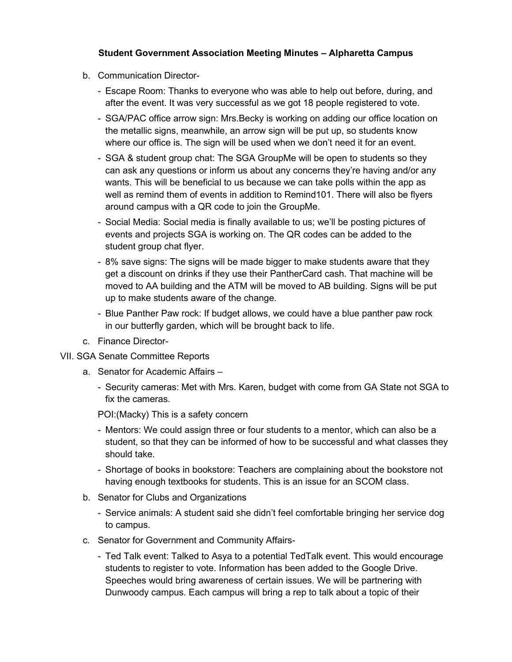- b. Communication Director-
	- Escape Room: Thanks to everyone who was able to help out before, during, and after the event. It was very successful as we got 18 people registered to vote.
	- SGA/PAC office arrow sign: Mrs.Becky is working on adding our office location on the metallic signs, meanwhile, an arrow sign will be put up, so students know where our office is. The sign will be used when we don't need it for an event.
	- SGA & student group chat: The SGA GroupMe will be open to students so they can ask any questions or inform us about any concerns they're having and/or any wants. This will be beneficial to us because we can take polls within the app as well as remind them of events in addition to Remind101. There will also be flyers around campus with a QR code to join the GroupMe.
	- Social Media: Social media is finally available to us; we'll be posting pictures of events and projects SGA is working on. The QR codes can be added to the student group chat flyer.
	- 8% save signs: The signs will be made bigger to make students aware that they get a discount on drinks if they use their PantherCard cash. That machine will be moved to AA building and the ATM will be moved to AB building. Signs will be put up to make students aware of the change.
	- Blue Panther Paw rock: If budget allows, we could have a blue panther paw rock in our butterfly garden, which will be brought back to life.
- c. Finance Director-
- VII. SGA Senate Committee Reports
	- a. Senator for Academic Affairs
		- Security cameras: Met with Mrs. Karen, budget with come from GA State not SGA to fix the cameras.

POI:(Macky) This is a safety concern

- Mentors: We could assign three or four students to a mentor, which can also be a student, so that they can be informed of how to be successful and what classes they should take.
- Shortage of books in bookstore: Teachers are complaining about the bookstore not having enough textbooks for students. This is an issue for an SCOM class.
- b. Senator for Clubs and Organizations
	- Service animals: A student said she didn't feel comfortable bringing her service dog to campus.
- c. Senator for Government and Community Affairs-
	- Ted Talk event: Talked to Asya to a potential TedTalk event. This would encourage students to register to vote. Information has been added to the Google Drive. Speeches would bring awareness of certain issues. We will be partnering with Dunwoody campus. Each campus will bring a rep to talk about a topic of their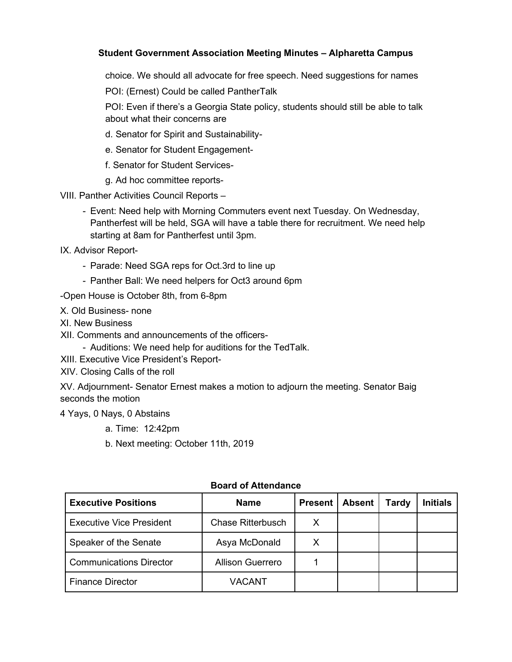choice. We should all advocate for free speech. Need suggestions for names

POI: (Ernest) Could be called PantherTalk

POI: Even if there's a Georgia State policy, students should still be able to talk about what their concerns are

- d. Senator for Spirit and Sustainability-
- e. Senator for Student Engagement-
- f. Senator for Student Services-
- g. Ad hoc committee reports-

VIII. Panther Activities Council Reports –

- Event: Need help with Morning Commuters event next Tuesday. On Wednesday, Pantherfest will be held, SGA will have a table there for recruitment. We need help starting at 8am for Pantherfest until 3pm.
- IX. Advisor Report-
	- Parade: Need SGA reps for Oct.3rd to line up
	- Panther Ball: We need helpers for Oct3 around 6pm

-Open House is October 8th, from 6-8pm

- X. Old Business- none
- XI. New Business
- XII. Comments and announcements of the officers-
	- Auditions: We need help for auditions for the TedTalk.
- XIII. Executive Vice President's Report-
- XIV. Closing Calls of the roll

XV. Adjournment- Senator Ernest makes a motion to adjourn the meeting. Senator Baig seconds the motion

4 Yays, 0 Nays, 0 Abstains

- a. Time: 12:42pm
- b. Next meeting: October 11th, 2019

| <b>Executive Positions</b>      | <b>Name</b>              | <b>Present</b> | <b>Absent</b> | Tardy | Initials |
|---------------------------------|--------------------------|----------------|---------------|-------|----------|
| <b>Executive Vice President</b> | <b>Chase Ritterbusch</b> |                |               |       |          |
| Speaker of the Senate           | Asya McDonald            | X              |               |       |          |
| <b>Communications Director</b>  | <b>Allison Guerrero</b>  |                |               |       |          |
| <b>Finance Director</b>         | VACANT                   |                |               |       |          |

#### **Board of Attendance**